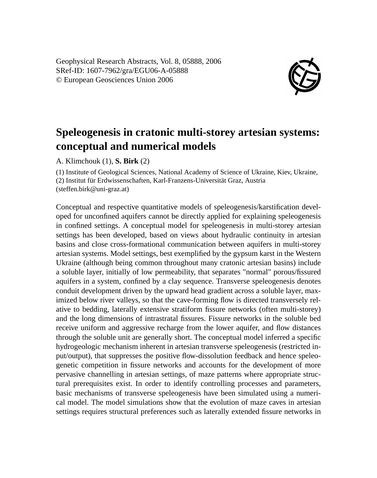Geophysical Research Abstracts, Vol. 8, 05888, 2006 SRef-ID: 1607-7962/gra/EGU06-A-05888 © European Geosciences Union 2006



## **Speleogenesis in cratonic multi-storey artesian systems: conceptual and numerical models**

A. Klimchouk (1), **S. Birk** (2)

(1) Institute of Geological Sciences, National Academy of Science of Ukraine, Kiev, Ukraine, (2) Institut für Erdwissenschaften, Karl-Franzens-Universität Graz, Austria (steffen.birk@uni-graz.at)

Conceptual and respective quantitative models of speleogenesis/karstification developed for unconfined aquifers cannot be directly applied for explaining speleogenesis in confined settings. A conceptual model for speleogenesis in multi-storey artesian settings has been developed, based on views about hydraulic continuity in artesian basins and close cross-formational communication between aquifers in multi-storey artesian systems. Model settings, best exemplified by the gypsum karst in the Western Ukraine (although being common throughout many cratonic artesian basins) include a soluble layer, initially of low permeability, that separates "normal" porous/fissured aquifers in a system, confined by a clay sequence. Transverse speleogenesis denotes conduit development driven by the upward head gradient across a soluble layer, maximized below river valleys, so that the cave-forming flow is directed transversely relative to bedding, laterally extensive stratiform fissure networks (often multi-storey) and the long dimensions of intrastratal fissures. Fissure networks in the soluble bed receive uniform and aggressive recharge from the lower aquifer, and flow distances through the soluble unit are generally short. The conceptual model inferred a specific hydrogeologic mechanism inherent in artesian transverse speleogenesis (restricted input/output), that suppresses the positive flow-dissolution feedback and hence speleogenetic competition in fissure networks and accounts for the development of more pervasive channelling in artesian settings, of maze patterns where appropriate structural prerequisites exist. In order to identify controlling processes and parameters, basic mechanisms of transverse speleogenesis have been simulated using a numerical model. The model simulations show that the evolution of maze caves in artesian settings requires structural preferences such as laterally extended fissure networks in